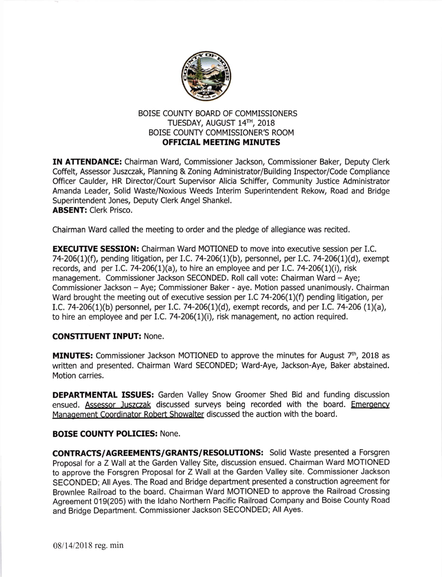

# BOISE COUNTY BOARD OF COMMISSIONERS TUESDAY, AUGUST 14TH, 2018 BOISE COUNTY COMMISSIONER'S ROOM **OFFICIAL MEETING MINUTES**

IN ATTENDANCE: Chairman Ward, Commissioner Jackson, Commissioner Baker, Deputy Clerk Coffelt, Assessor Juszczak, Planning & Zoning Administrator/Building Inspector/Code Compliance Officer Caulder, HR Director/Court Supervisor Alicia Schiffer, Community Justice Administrator Amanda Leader, Solid Waste/Noxlous Weeds Interim Superintendent Rekow, Road and Bridge Superintendent Jones, Deputy Clerk Angel Shankel. ABSENT: Clerk Prisco.

Chairman Ward called the meeting to order and the pledge of allegiance was recited.

**EXECUTIVE SESSION:** Chairman Ward MOTIONED to move into executive session per I.C. 74-206(1)(f), pending litigation, per I.C. 74-206(1)(b), personnel, per I.C. 74-206(1)(d), exempt records, and per I.C. 74-206(1)(a), to hire an employee and per I.C. 74-206(1)(i), risk management. Commissioner Jackson SECONDED. Roll call vote: Chairman Ward - Aye; Commissioner Jackson - Aye; Commissioner Baker - aye. Motion passed unanimously. Chairman Ward brought the meeting out of executive session per I.C 74-206(1)(f) pending litigation, per I.C. 74-206(1)(b) personnel, per I.C. 74-206(1)(d), exempt records, and per I.C. 74-206 (1)(a), to hire an employee and per I.C. 74-206(1)(i), risk management, no action required.

# CONSTITUENT INPUT: None.

**MINUTES:** Commissioner Jackson MOTIONED to approve the minutes for August  $7<sup>th</sup>$ , 2018 as written and presented. Chairman Ward SECONDED; Ward-Aye, Jackson-Aye, Baker abstained. Motion carries.

DEPARTMENTAL ISSUES: Garden Valley Snow Groomer Shed Bid and funding discussion ensued. Assessor Juszczak discussed surveys being recorded with the board. Emergency Manaoement Coordinator Robert Showalter discussed the auction with the board.

# BOISE COUNTY POLICIES: None.

CONTRACTS/AGREEMENTS/GRANTS/RESOLUTIONS: Solid Waste presented a Forsgren Proposal for a Z Wall at the Garden Valley Site, discussion ensued. Chairman Ward MOTIONED to approve the Forsgren Proposal for Z Wall at the Garden Valley site. Commissioner Jackson SECONDED; All Ayes. The Road and Bridge department presented a construction agreement for Brownlee Railroad to the board. Chairman Ward MOTIONED to approve the Railroad Crossing Agreement 019(205) with the ldaho Northern Pacific Railroad Company and Boise County Road and Bridge Department. Commissioner Jackson SECONDED; All Ayes.